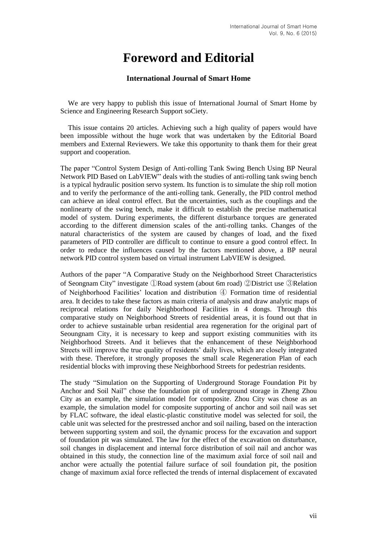## **Foreword and Editorial**

## **International Journal of Smart Home**

We are very happy to publish this issue of International Journal of Smart Home by Science and Engineering Research Support soCiety.

This issue contains 20 articles. Achieving such a high quality of papers would have been impossible without the huge work that was undertaken by the Editorial Board members and External Reviewers. We take this opportunity to thank them for their great support and cooperation.

The paper "Control System Design of Anti-rolling Tank Swing Bench Using BP Neural Network PID Based on LabVIEW" deals with the studies of anti-rolling tank swing bench is a typical hydraulic position servo system. Its function is to simulate the ship roll motion and to verify the performance of the anti-rolling tank. Generally, the PID control method can achieve an ideal control effect. But the uncertainties, such as the couplings and the nonlinearty of the swing bench, make it difficult to establish the precise mathematical model of system. During experiments, the different disturbance torques are generated according to the different dimension scales of the anti-rolling tanks. Changes of the natural characteristics of the system are caused by changes of load, and the fixed parameters of PID controller are difficult to continue to ensure a good control effect. In order to reduce the influences caused by the factors mentioned above, a BP neural network PID control system based on virtual instrument LabVIEW is designed.

Authors of the paper "A Comparative Study on the Neighborhood Street Characteristics of Seongnam City" investigate ①Road system (about 6m road) ②District use ③Relation of Neighborhood Facilities' location and distribution ④ Formation time of residential area. It decides to take these factors as main criteria of analysis and draw analytic maps of reciprocal relations for daily Neighborhood Facilities in 4 dongs. Through this comparative study on Neighborhood Streets of residential areas, it is found out that in order to achieve sustainable urban residential area regeneration for the original part of Seoungnam City, it is necessary to keep and support existing communities with its Neighborhood Streets. And it believes that the enhancement of these Neighborhood Streets will improve the true quality of residents' daily lives, which are closely integrated with these. Therefore, it strongly proposes the small scale Regeneration Plan of each residential blocks with improving these Neighborhood Streets for pedestrian residents.

The study "Simulation on the Supporting of Underground Storage Foundation Pit by Anchor and Soil Nail" chose the foundation pit of underground storage in Zheng Zhou City as an example, the simulation model for composite. Zhou City was chose as an example, the simulation model for composite supporting of anchor and soil nail was set by FLAC software, the ideal elastic-plastic constitutive model was selected for soil, the cable unit was selected for the prestressed anchor and soil nailing, based on the interaction between supporting system and soil, the dynamic process for the excavation and support of foundation pit was simulated. The law for the effect of the excavation on disturbance, soil changes in displacement and internal force distribution of soil nail and anchor was obtained in this study, the connection line of the maximum axial force of soil nail and anchor were actually the potential failure surface of soil foundation pit, the position change of maximum axial force reflected the trends of internal displacement of excavated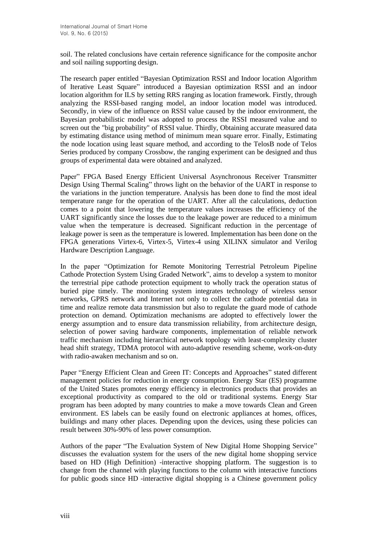soil. The related conclusions have certain reference significance for the composite anchor and soil nailing supporting design.

The research paper entitled "Bayesian Optimization RSSI and Indoor location Algorithm of Iterative Least Square" introduced a Bayesian optimization RSSI and an indoor location algorithm for ILS by setting RRS ranging as location framework. Firstly, through analyzing the RSSI-based ranging model, an indoor location model was introduced. Secondly, in view of the influence on RSSI value caused by the indoor environment, the Bayesian probabilistic model was adopted to process the RSSI measured value and to screen out the "big probability" of RSSI value. Thirdly, Obtaining accurate measured data by estimating distance using method of minimum mean square error. Finally, Estimating the node location using least square method, and according to the TelosB node of Telos Series produced by company Crossbow, the ranging experiment can be designed and thus groups of experimental data were obtained and analyzed.

Paper" FPGA Based Energy Efficient Universal Asynchronous Receiver Transmitter Design Using Thermal Scaling" throws light on the behavior of the UART in response to the variations in the junction temperature. Analysis has been done to find the most ideal temperature range for the operation of the UART. After all the calculations, deduction comes to a point that lowering the temperature values increases the efficiency of the UART significantly since the losses due to the leakage power are reduced to a minimum value when the temperature is decreased. Significant reduction in the percentage of leakage power is seen as the temperature is lowered. Implementation has been done on the FPGA generations Virtex-6, Virtex-5, Virtex-4 using XILINX simulator and Verilog Hardware Description Language.

In the paper "Optimization for Remote Monitoring Terrestrial Petroleum Pipeline Cathode Protection System Using Graded Network", aims to develop a system to monitor the terrestrial pipe cathode protection equipment to wholly track the operation status of buried pipe timely. The monitoring system integrates technology of wireless sensor networks, GPRS network and Internet not only to collect the cathode potential data in time and realize remote data transmission but also to regulate the guard mode of cathode protection on demand. Optimization mechanisms are adopted to effectively lower the energy assumption and to ensure data transmission reliability, from architecture design, selection of power saving hardware components, implementation of reliable network traffic mechanism including hierarchical network topology with least-complexity cluster head shift strategy, TDMA protocol with auto-adaptive resending scheme, work-on-duty with radio-awaken mechanism and so on.

Paper "Energy Efficient Clean and Green IT: Concepts and Approaches" stated different management policies for reduction in energy consumption. Energy Star (ES) programme of the United States promotes energy efficiency in electronics products that provides an exceptional productivity as compared to the old or traditional systems. Energy Star program has been adopted by many countries to make a move towards Clean and Green environment. ES labels can be easily found on electronic appliances at homes, offices, buildings and many other places. Depending upon the devices, using these policies can result between 30%-90% of less power consumption.

Authors of the paper "The Evaluation System of New Digital Home Shopping Service" discusses the evaluation system for the users of the new digital home shopping service based on HD (High Definition) -interactive shopping platform. The suggestion is to change from the channel with playing functions to the column with interactive functions for public goods since HD -interactive digital shopping is a Chinese government policy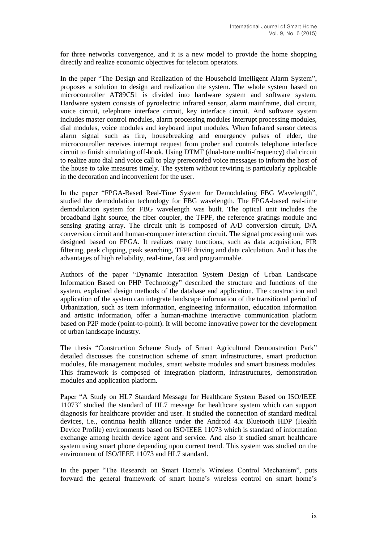for three networks convergence, and it is a new model to provide the home shopping directly and realize economic objectives for telecom operators.

In the paper "The Design and Realization of the Household Intelligent Alarm System", proposes a solution to design and realization the system. The whole system based on microcontroller AT89C51 is divided into hardware system and software system. Hardware system consists of pyroelectric infrared sensor, alarm mainframe, dial circuit, voice circuit, telephone interface circuit, key interface circuit. And software system includes master control modules, alarm processing modules interrupt processing modules, dial modules, voice modules and keyboard input modules. When Infrared sensor detects alarm signal such as fire, housebreaking and emergency pulses of elder, the microcontroller receives interrupt request from prober and controls telephone interface circuit to finish simulating off-hook. Using DTMF (dual-tone multi-frequency) dial circuit to realize auto dial and voice call to play prerecorded voice messages to inform the host of the house to take measures timely. The system without rewiring is particularly applicable in the decoration and inconvenient for the user.

In the paper "FPGA-Based Real-Time System for Demodulating FBG Wavelength", studied the demodulation technology for FBG wavelength. The FPGA-based real-time demodulation system for FBG wavelength was built. The optical unit includes the broadband light source, the fiber coupler, the TFPF, the reference gratings module and sensing grating array. The circuit unit is composed of A/D conversion circuit, D/A conversion circuit and human-computer interaction circuit. The signal processing unit was designed based on FPGA. It realizes many functions, such as data acquisition, FIR filtering, peak clipping, peak searching, TFPF driving and data calculation. And it has the advantages of high reliability, real-time, fast and programmable.

Authors of the paper "Dynamic Interaction System Design of Urban Landscape Information Based on PHP Technology" described the structure and functions of the system, explained design methods of the database and application. The construction and application of the system can integrate landscape information of the transitional period of Urbanization, such as item information, engineering information, education information and artistic information, offer a human-machine interactive communication platform based on P2P mode (point-to-point). It will become innovative power for the development of urban landscape industry.

The thesis "Construction Scheme Study of Smart Agricultural Demonstration Park" detailed discusses the construction scheme of smart infrastructures, smart production modules, file management modules, smart website modules and smart business modules. This framework is composed of integration platform, infrastructures, demonstration modules and application platform.

Paper "A Study on HL7 Standard Message for Healthcare System Based on ISO/IEEE 11073" studied the standard of HL7 message for healthcare system which can support diagnosis for healthcare provider and user. It studied the connection of standard medical devices, i.e., continua health alliance under the Android 4.x Bluetooth HDP (Health Device Profile) environments based on ISO/IEEE 11073 which is standard of information exchange among health device agent and service. And also it studied smart healthcare system using smart phone depending upon current trend. This system was studied on the environment of ISO/IEEE 11073 and HL7 standard.

In the paper "The Research on Smart Home's Wireless Control Mechanism", puts forward the general framework of smart home's wireless control on smart home's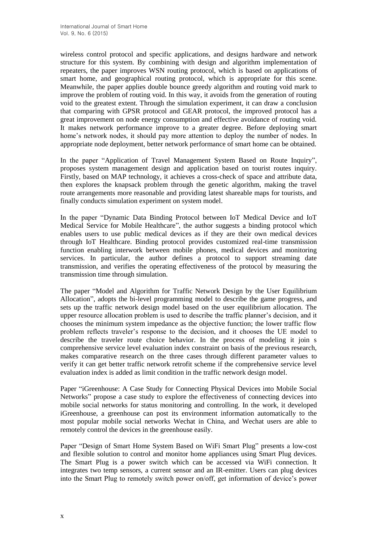wireless control protocol and specific applications, and designs hardware and network structure for this system. By combining with design and algorithm implementation of repeaters, the paper improves WSN routing protocol, which is based on applications of smart home, and geographical routing protocol, which is appropriate for this scene. Meanwhile, the paper applies double bounce greedy algorithm and routing void mark to improve the problem of routing void. In this way, it avoids from the generation of routing void to the greatest extent. Through the simulation experiment, it can draw a conclusion that comparing with GPSR protocol and GEAR protocol, the improved protocol has a great improvement on node energy consumption and effective avoidance of routing void. It makes network performance improve to a greater degree. Before deploying smart home's network nodes, it should pay more attention to deploy the number of nodes. In appropriate node deployment, better network performance of smart home can be obtained.

In the paper "Application of Travel Management System Based on Route Inquiry", proposes system management design and application based on tourist routes inquiry. Firstly, based on MAP technology, it achieves a cross-check of space and attribute data, then explores the knapsack problem through the genetic algorithm, making the travel route arrangements more reasonable and providing latest shareable maps for tourists, and finally conducts simulation experiment on system model.

In the paper "Dynamic Data Binding Protocol between IoT Medical Device and IoT Medical Service for Mobile Healthcare", the author suggests a binding protocol which enables users to use public medical devices as if they are their own medical devices through IoT Healthcare. Binding protocol provides customized real-time transmission function enabling interwork between mobile phones, medical devices and monitoring services. In particular, the author defines a protocol to support streaming date transmission, and verifies the operating effectiveness of the protocol by measuring the transmission time through simulation.

The paper "Model and Algorithm for Traffic Network Design by the User Equilibrium Allocation", adopts the bi-level programming model to describe the game progress, and sets up the traffic network design model based on the user equilibrium allocation. The upper resource allocation problem is used to describe the traffic planner's decision, and it chooses the minimum system impedance as the objective function; the lower traffic flow problem reflects traveler's response to the decision, and it chooses the UE model to describe the traveler route choice behavior. In the process of modeling it join s comprehensive service level evaluation index constraint on basis of the previous research, makes comparative research on the three cases through different parameter values to verify it can get better traffic network retrofit scheme if the comprehensive service level evaluation index is added as limit condition in the traffic network design model.

Paper "iGreenhouse: A Case Study for Connecting Physical Devices into Mobile Social Networks" propose a case study to explore the effectiveness of connecting devices into mobile social networks for status monitoring and controlling. In the work, it developed iGreenhouse, a greenhouse can post its environment information automatically to the most popular mobile social networks Wechat in China, and Wechat users are able to remotely control the devices in the greenhouse easily.

Paper "Design of Smart Home System Based on WiFi Smart Plug" presents a low-cost and flexible solution to control and monitor home appliances using Smart Plug devices. The Smart Plug is a power switch which can be accessed via WiFi connection. It integrates two temp sensors, a current sensor and an IR-emitter. Users can plug devices into the Smart Plug to remotely switch power on/off, get information of device's power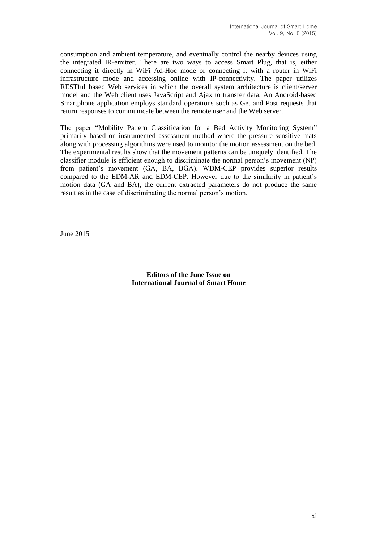consumption and ambient temperature, and eventually control the nearby devices using the integrated IR-emitter. There are two ways to access Smart Plug, that is, either connecting it directly in WiFi Ad-Hoc mode or connecting it with a router in WiFi infrastructure mode and accessing online with IP-connectivity. The paper utilizes RESTful based Web services in which the overall system architecture is client/server model and the Web client uses JavaScript and Ajax to transfer data. An Android-based Smartphone application employs standard operations such as Get and Post requests that return responses to communicate between the remote user and the Web server.

The paper "Mobility Pattern Classification for a Bed Activity Monitoring System" primarily based on instrumented assessment method where the pressure sensitive mats along with processing algorithms were used to monitor the motion assessment on the bed. The experimental results show that the movement patterns can be uniquely identified. The classifier module is efficient enough to discriminate the normal person's movement (NP) from patient's movement (GA, BA, BGA). WDM-CEP provides superior results compared to the EDM-AR and EDM-CEP. However due to the similarity in patient's motion data (GA and BA), the current extracted parameters do not produce the same result as in the case of discriminating the normal person's motion.

June 2015

**Editors of the June Issue on International Journal of Smart Home**